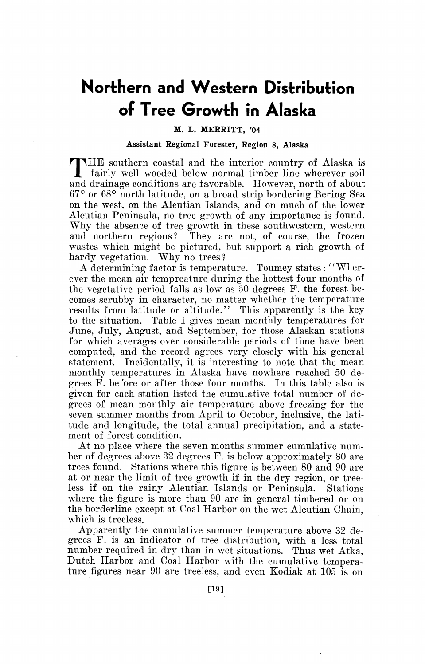## **Northern and Western Distribution of Tree Growth in Alaska**

## M. L. MERRITT, '04

## Assistant Regional Forester, Region s, Alaska

T HE southern coastal and the interior country of Alaska is fairly well wooded below normal timber line wherever soil and drainage conditions are favorable. However, north of about 67° or 68° north latitude, on a broad strip bordering Bering Sea on the west, on the Aleutian Islands, and on much of the lower Aleutian Peninsula, no tree growth of any importance is found. Why the absence of tree growth in these southwestern, western and northern regions? They are not, of course, the frozen wastes which might be pictured, but support a rich growth of hardy vegetation. Why no trees?

A determining factor is temperature. Toumey states: "Wherever the mean air tempreature during the hottest four months of the vegetative period falls as low as 50 degrees F. the forest becomes scrubby in character, no matter whether the temperature results from latitude or altitude.'' This apparently is the key to the situation. Table I gives mean monthly temperatures for June, July, August, and September, for those Alaskan stations for which averages over considerable periods of time have been computed, and the record agrees very closely with his general statement. Incidentally, it is interesting to note that the mean monthly temperatures in Alaska have nowhere reached 50 degrees F. before or after those four months. In this table also is given for each station listed the cumulative total number of degrees of mean monthly air temperature above freezing for the seven summer months from April to October, inclusive, the latitude and longitude, the total annual precipitation, and a statement of forest condition.

At no place where the seven months summer cumulative number of degrees above 32 degrees F. is below approximately 80 are trees found. Stations where this figure is between 80 and 90 are at or near the limit of tree growth if in the dry region, or treeless if on the rainy Aleutian Islands or Peninsula. Stations where the figure is more than 90 are in general timbered or on the borderline except at Coal Harbor on the wet Aleutian Chain, which is treeless.

Apparently the cumulative summer temperature above 32 degrees F. is an indicator of tree distribution, with a less total number required in dry than in wet situations. Thus wet Atka, Dutch Harbor and Coal Harbor with the cumulative temperature figures near 90 are treeless, and even Kodiak at 105 is on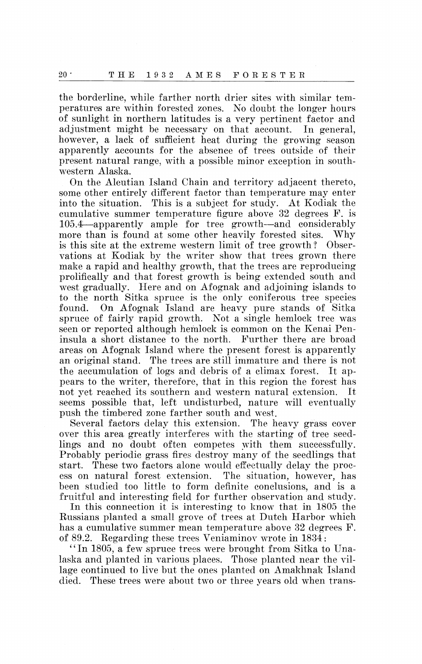the borderline, while farther north drier sites with similar temperatures are within forested zones. No doubt the longer hours of sunlight in northern latitudes is a very pertinent factor and adjustment might be necessary on that account. In general, however, a lack of sufficient heat during the growing season apparently accounts for the absence of trees outside of their present natural range, with a possible minor exception in southwestern Alaska.

On the Aleutian Island Chain and territory adjacent thereto, some other entirely different factor than temperature may enter into the situation. 'fhis is a subject for study. At Kodiak the cumulative summer temperature figure above 32 degrees F. is 105.4--apparently ample for tree growth-and considerably more than is found at some other heavily forested sites. Why is this site at the extreme western limit of tree growth? Observations at Kodiak by the writer show that trees grown there make a rapid and healthy growth, that the trees are reproducing prolifically and that forest growth is being extended south and west gradually. Here and on Afognak and adjoining islands to to the north Sitka spruce is the only coniferous tree species found. On Afognak Island are heavy pure stands of Sitka spruce of fairly rapid growth. Not a single hemlock tree was seen or reported although hemlock is common on the Kenai Peninsula a short distance to the north. Further there are broad areas on Afognak Island where the present forest is apparently an original stand. The trees are still immature and there is not the accumulation of logs and debris of a climax forest. It appears to the writer, therefore, that in this region the forest has not yet reached its southern and western natural extension. It seems possible that, left undisturbed, nature will eventually push the timbered zone farther south and west.

Several factors delay this extension. The heavy grass cover over this area greatly interferes with the starting of tree seedlings and no doubt often competes with them successfully. Probably periodic grass fires destroy many of the seedlings that start. These two factors alone would effectually delay the process on natural forest extension. The situation, however, has been studied too little to form definite conclusions, and is a fruitful and interesting field for further observation and study.

In this connection it is interesting to know that in 1805 the Russians planted a small grove of trees at Dutch Harbor which has a cumulative summer mean temperature above 32 degrees F. of 89.2. Regarding these trees Veniaminov wrote in 1834:

"In 1805, a few spruce trees were brought from Sitka to Unalaska and planted in various places. Those planted near the village continued to live but the ones planted on Amakhnak Island died. These trees were about two or three years old when trans-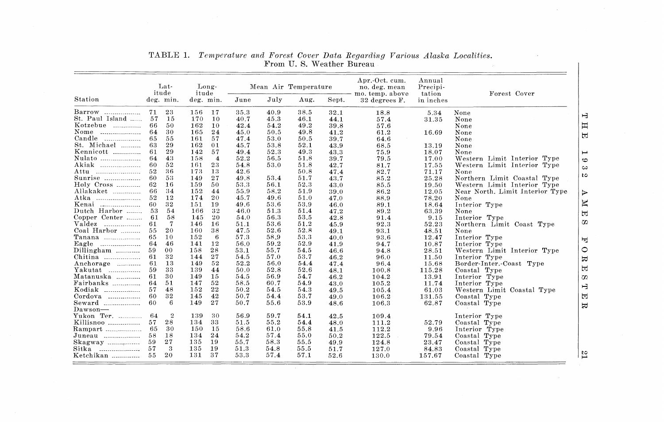|                              | Lat-<br>itude |                | Long-<br>itude |                |      |      | Mean Air Temperature |       | Apr.-Oct. cum.<br>no. deg. mean<br>mo. temp. above | Annual<br>Precipi-<br>tation | Forest Cover                                 |
|------------------------------|---------------|----------------|----------------|----------------|------|------|----------------------|-------|----------------------------------------------------|------------------------------|----------------------------------------------|
| Station                      |               | deg. min.      | deg. min.      |                | June | July | Aug.                 | Sept. | 32 degrees F.                                      | in inches                    |                                              |
| Barrow                       | 71            | 23             | 156            | 17             | 35.3 | 40.9 | 38.5                 | 32.1  | 18.8                                               | 5.34                         | None                                         |
| St. Paul Island              | -57           | 15             | 170            | 10             | 40.7 | 45.3 | 46.1                 | 44.1  | 57.4                                               | 31.35                        | None                                         |
| Kotzebue                     | 66            | 50             | 162            | 10             | 42.4 | 54.2 | 49.2                 | 39.8  | 57.6                                               |                              | $\boldsymbol{\Xi}$<br>None                   |
| Nome<br>-------------------- | 64            | 30             | 165            | 24             | 45.0 | 50.5 | 49.8                 | 41.2  | 61.2                                               | 16.69                        | None                                         |
| Candle<br>.                  | 65            | 55             | 161            | 57             | 47.4 | 53.0 | 50.5                 | 39.7  | 64.6                                               |                              | None                                         |
| St. Michael                  | 63            | 29             | 162            | 01             | 45.7 | 53.8 | 52.1                 | 43.9  | 68.5                                               | 13.19                        | None                                         |
| Kennicott                    | 61            | 29             | 142            | 57             | 49.4 | 52.3 | 49.3                 | 43.3  | 75.9                                               | 18.07                        | None                                         |
| Nulato                       | 64            | 43             | 158            | $\overline{4}$ | 52.2 | 56.5 | 51.8                 | 39.7  | 79.5                                               | 17.00                        | Western Limit Interior Type                  |
| Akiak                        | 60            | 52             | 161            | 23             | 54.8 | 53.0 | 51.8                 | 42.7  | 81.7                                               | 17.55                        | Western Limit Interior Type                  |
| Attu                         | 52            | 36             | 173            | 13             | 42.6 |      | 50.8                 | 47.4  | 82.7                                               | 71.17                        | None                                         |
| Sunrise                      | 60            | 53             | 149            | 27             | 49.8 | 53.4 | 51.7                 | 43.7  | 85.2                                               | 25.28                        | Northern Limit Coastal Type                  |
| Holy Cross                   | 62            | 16             | 159            | 50             | 53.3 | 56.1 | 52.3                 | 43.0  | 85.5                                               | 19.50                        | Western Limit Interior Type                  |
| Allakaket                    | 66            | 34             | 152            | 44             | 55.9 | 58.2 | 51.9                 | 39.0  | 86.2                                               | 12.05                        | Near North, Limit Interior Type              |
| Atka                         | 52            | 12             | 174            | 20             | 45.7 | 49.6 | 51.0                 | 47.0  | 88.9                                               | 78.20                        | None                                         |
| Kenai                        | 60            | 32             | 151            | 19             | 49.6 | 53.6 | 53.9                 | 46.0  | 89.1                                               | 18.64                        | $\overline{\mathbb{K}}$<br>Interior Type     |
| Dutch Harbor                 | 53            | 54             | 166            | 32             | 46.0 | 51.3 | 51.4                 | 47.2  | 89.2                                               | 63.39                        | None                                         |
| Copper Center                | 61            | 58             | 145            | 20             | 54.0 | 56.3 | 53.5                 | 42.8  | 91.4                                               | 9.15                         | 国<br>Interior Type                           |
| Valdez<br>.                  | 61            | 7              | 146            | 16             | 51.1 | 53.6 | 51.2                 | 45.9  | 92.3                                               | 52.23                        | Ω<br>Northern Limit Coast Type               |
| Coal Harbor                  | $55 -$        | 20             | 160            | 38             | 47.5 | 52.6 | 52.8                 | 49.1  | 93.1                                               | 48.51                        | None                                         |
| Tanana                       | 65            | 10             | 152            | 6              | 57.3 | 58.9 | 53.3                 | 40.0  | 93.6                                               | 12.47                        | Interior Type                                |
| Eagle                        | 64            | 46             | 141            | 12             | 56.0 | 59.2 | 52.9                 | 41.9  | 94.7                                               | 10.87                        | 同<br>Interior Type                           |
| Dillingham                   | 59            | 00             | 158            | 28             | 53.1 | 55.7 | 54.5                 | 46.6  | 94.8                                               | 28.51                        | Western Limit Interior Type                  |
| Chitina                      | 61            | 32             | 144            | 27             | 54.5 | 57.0 | 53.7                 | 46.2  | 96.0                                               | 11.50                        | Interior Type                                |
| Anchorage                    | 61            | 13             | 149            | 52             | 52.2 | 56.0 | 54.4                 | 47.4  | 96.4                                               | 15.68                        | 보<br>Border Inter. Coast Type                |
| Yakutat<br>.                 | 59            | 33             | 139            | 44             | 50.0 | 52.8 | 52.6                 | 48.1  | 100.8                                              | 115.28                       | $\blacksquare$<br>Coastal Type               |
| Matanuska                    | 61            | 30             | 149            | 15             | 54.5 | 56.9 | 54.7                 | 46.2  | 104.2                                              | 13.91                        | Interior Type<br>ζΩ                          |
| Fairbanks                    | 64            | 51             | 147            | 52             | 58.5 | 60.7 | 54.9                 | 43.0  | 105.2                                              | 11.74                        | Interior Type                                |
| Kodiak<br>.                  | 57            | 48             | 152            | 22             | 50.2 | 54.5 | 54.3                 | 49.5  | 105.4                                              | 61.03                        | Western Limit Coastal Type                   |
| Cordova                      | 60            | 32             | 145            | 42             | 50.7 | 54.4 | 53.7                 | 49.0  | 106.2                                              | 131.55                       | 固<br>Coastal Type                            |
| Seward                       | 60            | 6              | 149            | 27             | 50.7 | 55.6 | 53.9                 | 48.6  | 106.3                                              | 62.87                        | Coastal Type                                 |
| $_{\rm{Dawson-}}$            |               |                |                |                |      |      |                      |       |                                                    |                              | 员                                            |
| Yukon Ter.                   | -64           | $\overline{2}$ | 139            | 30             | 56.9 | 59.7 | 54.1                 | 42.5  | 109.4                                              |                              | Interior Type                                |
| Killisnoo                    | 57            | 28             | 134            | 33             | 51.5 | 55.2 | 54.4                 | 48.0  | 111.2                                              | 52.79                        | Coastal Type                                 |
| Rampart                      | 65            | 30             | 150            | 15             | 58.6 | 61.0 | 55.8                 | 41.5  | 112.2                                              | 9.96                         | Interior Type                                |
| Juneau                       | 58            | 18             | 134            | 24             | 54.2 | 57.4 | 55.0                 | 50.2  | 122.5                                              | 79.54                        | Coastal Type                                 |
|                              | 59            | 27             | 135            | 19             | 55.7 | 58.3 | 55.5                 | 49.9  | 124.8                                              | 23.47                        | Coastal Type                                 |
| Sitka                        | 57            | 3              | 135            | 19             | 513  | 54.8 | 55.5                 | 51.7  | 127.0                                              | 84.83                        |                                              |
|                              | $55 -$        | 20             | 131            | 37             | 53.3 | 57.4 | 57.1                 | 52.6  |                                                    |                              | Coastal Type<br>$\mathbb{Z}$<br>Coastal Type |
| Ketchikan                    |               |                |                |                |      |      |                      |       | 130.0                                              | 157.67                       |                                              |

## TABLE 1. Temperature and Forest Cover Data Regarding Various Alaska Localities.<br>From U.S. Weather Bureau

 $\sim$ 

 $\mathbf{I}$